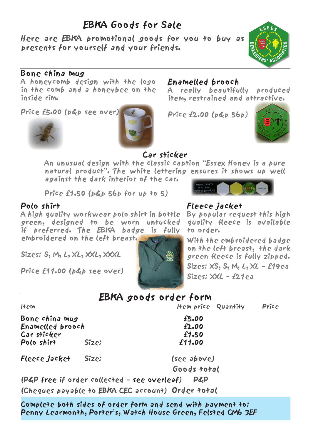## EBKA Goods for Sale

Here are EBKA promotional goods for you to buy as presents for yourself and your friends.

#### Bone china mug

A honeycomb design with the logo in the comb and a honeybee on the inside rim.

Price £5.00 (p&p see over)





#### Enamelled brooch

A really beautifully produced item, restrained and attractive.

 $Price f2.00 (b&b 56b)$ 

Fleece jacket

to order.



א יצ

#### Car sticker

An unusual design with the classic caption "Essex Honey is a pure natural product". The white lettering ensures it shows up well against the dark interior of the car.

Price £1.50 (p&p 56p for up to 5)

#### Polo shirt

A high quality workwear polo shirt in bottle green, designed to be worn untucked if preferred. The EBKA badge is fully embroidered on the left breast.

Sizes: S, M, L, XL, XXL, XXXL

Price £11.00 (p&p see over)



With the embroidered badge on the left breast, the dark green fleece is fully zipped. Sizes: XS, S, M, L, XL – £19ea  $Sizes: XXI - f21ea$ 

By popular request this high quality fleece is available

#### EBKA goods order form

Item Item Item price Quantity Price

Bone china mug £5.00 Enamelled brooch £2.00 Car sticker £1.50 Polo shirt

Fleece jacket Size: (see above)

Goods total

(P&P free if order collected – see overleaf) P&P

(Cheques payable to EBKA CEC account) Order total

Complete both sides of order form and send with payment to: Penny Learmonth, Porter's, Watch House Green, Felsted CM6 3EF